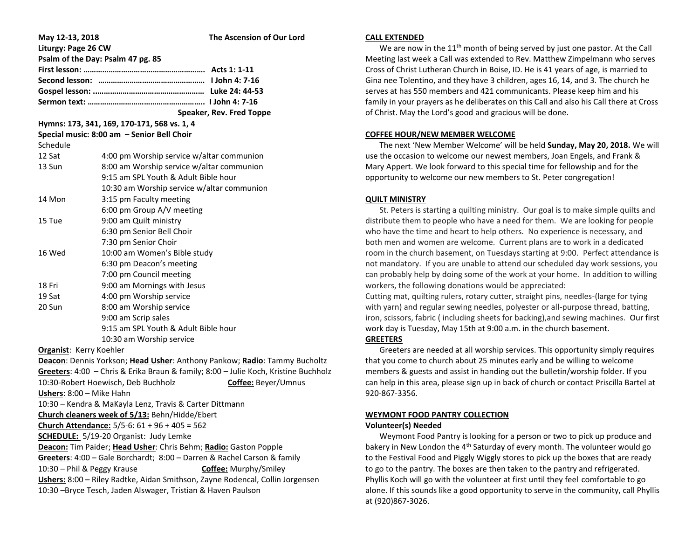| May 12-13, 2018                                                               | The Ascension of Our Lord                                                           |
|-------------------------------------------------------------------------------|-------------------------------------------------------------------------------------|
| Liturgy: Page 26 CW                                                           |                                                                                     |
| Psalm of the Day: Psalm 47 pg. 85                                             |                                                                                     |
|                                                                               |                                                                                     |
|                                                                               |                                                                                     |
|                                                                               |                                                                                     |
|                                                                               |                                                                                     |
|                                                                               | Speaker, Rev. Fred Toppe                                                            |
| Hymns: 173, 341, 169, 170-171, 568 vs. 1, 4                                   |                                                                                     |
|                                                                               | Special music: 8:00 am - Senior Bell Choir                                          |
| Schedule                                                                      |                                                                                     |
| 12 Sat                                                                        | 4:00 pm Worship service w/altar communion                                           |
| 13 Sun                                                                        | 8:00 am Worship service w/altar communion                                           |
|                                                                               | 9:15 am SPL Youth & Adult Bible hour                                                |
|                                                                               | 10:30 am Worship service w/altar communion                                          |
| 14 Mon                                                                        | 3:15 pm Faculty meeting                                                             |
|                                                                               | 6:00 pm Group A/V meeting                                                           |
| 15 Tue                                                                        | 9:00 am Quilt ministry                                                              |
|                                                                               | 6:30 pm Senior Bell Choir                                                           |
|                                                                               | 7:30 pm Senior Choir                                                                |
| 16 Wed                                                                        | 10:00 am Women's Bible study                                                        |
|                                                                               | 6:30 pm Deacon's meeting                                                            |
|                                                                               | 7:00 pm Council meeting                                                             |
| 18 Fri                                                                        | 9:00 am Mornings with Jesus                                                         |
| 19 Sat                                                                        | 4:00 pm Worship service                                                             |
| 20 Sun                                                                        | 8:00 am Worship service                                                             |
|                                                                               | 9:00 am Scrip sales                                                                 |
|                                                                               | 9:15 am SPL Youth & Adult Bible hour                                                |
|                                                                               | 10:30 am Worship service                                                            |
| Organist: Kerry Koehler                                                       |                                                                                     |
|                                                                               | Deacon: Dennis Yorkson; Head Usher: Anthony Pankow; Radio: Tammy Bucholtz           |
|                                                                               | Greeters: 4:00 - Chris & Erika Braun & family; 8:00 - Julie Koch, Kristine Buchholz |
|                                                                               | 10:30-Robert Hoewisch, Deb Buchholz<br>Coffee: Beyer/Umnus                          |
| Ushers: 8:00 - Mike Hahn                                                      |                                                                                     |
|                                                                               | 10:30 - Kendra & MaKayla Lenz, Travis & Carter Dittmann                             |
|                                                                               | Church cleaners week of 5/13: Behn/Hidde/Ebert                                      |
| Church Attendance: 5/5-6: 61 + 96 + 405 = 562                                 |                                                                                     |
| <b>SCHEDULE:</b> 5/19-20 Organist: Judy Lemke                                 |                                                                                     |
| Deacon: Tim Paider; Head Usher: Chris Behm; Radio: Gaston Popple              |                                                                                     |
| Greeters: 4:00 - Gale Borchardt; 8:00 - Darren & Rachel Carson & family       |                                                                                     |
| 10:30 - Phil & Peggy Krause                                                   | Coffee: Murphy/Smiley                                                               |
| Ushers: 8:00 - Riley Radtke, Aidan Smithson, Zayne Rodencal, Collin Jorgensen |                                                                                     |
| 10:30 - Bryce Tesch, Jaden Alswager, Tristian & Haven Paulson                 |                                                                                     |

#### **CALL EXTENDED**

We are now in the  $11<sup>th</sup>$  month of being served by just one pastor. At the Call Meeting last week a Call was extended to Rev. Matthew Zimpelmann who serves Cross of Christ Lutheran Church in Boise, ID. He is 41 years of age, is married to Gina nee Tolentino, and they have 3 children, ages 16, 14, and 3. The church he serves at has 550 members and 421 communicants. Please keep him and his family in your prayers as he deliberates on this Call and also his Call there at Cross of Christ. May the Lord's good and gracious will be done.

### **COFFEE HOUR/NEW MEMBER WELCOME**

 The next 'New Member Welcome' will be held **Sunday, May 20, 2018.** We will use the occasion to welcome our newest members, Joan Engels, and Frank & Mary Appert. We look forward to this special time for fellowship and for the opportunity to welcome our new members to St. Peter congregation!

## **QUILT MINISTRY**

 St. Peters is starting a quilting ministry. Our goal is to make simple quilts and distribute them to people who have a need for them. We are looking for people who have the time and heart to help others. No experience is necessary, and both men and women are welcome. Current plans are to work in a dedicated room in the church basement, on Tuesdays starting at 9:00. Perfect attendance is not mandatory. If you are unable to attend our scheduled day work sessions, you can probably help by doing some of the work at your home. In addition to willing workers, the following donations would be appreciated:

Cutting mat, quilting rulers, rotary cutter, straight pins, needles-(large for tying with yarn) and regular sewing needles, polyester or all-purpose thread, batting, iron, scissors, fabric ( including sheets for backing),and sewing machines. Our first work day is Tuesday, May 15th at 9:00 a.m. in the church basement.

# **GREETERS**

 Greeters are needed at all worship services. This opportunity simply requires that you come to church about 25 minutes early and be willing to welcome members & guests and assist in handing out the bulletin/worship folder. If you can help in this area, please sign up in back of church or contact Priscilla Bartel at 920-867-3356.

# **WEYMONT FOOD PANTRY COLLECTION**

# **Volunteer(s) Needed**

Weymont Food Pantry is looking for a person or two to pick up produce and bakery in New London the 4<sup>th</sup> Saturday of every month. The volunteer would go to the Festival Food and Piggly Wiggly stores to pick up the boxes that are ready to go to the pantry. The boxes are then taken to the pantry and refrigerated. Phyllis Koch will go with the volunteer at first until they feel comfortable to go alone. If this sounds like a good opportunity to serve in the community, call Phyllis at (920)867-3026.